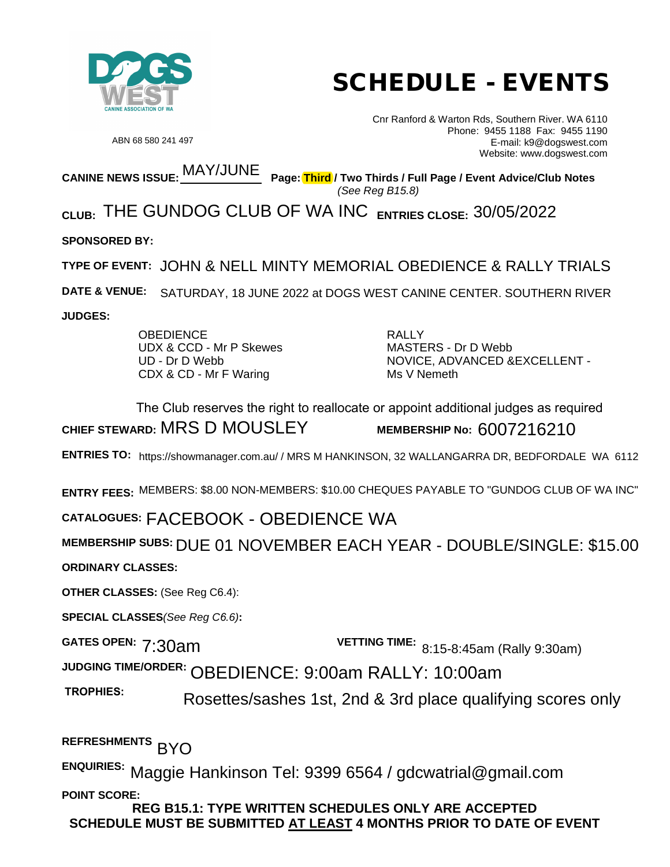

# SCHEDULE - EVENTS

ABN 68 580 241 497

Cnr Ranford & Warton Rds, Southern River. WA 6110 Phone: 9455 1188 Fax: 9455 1190 E-mail: k9@dogswest.com Website: www.dogswest.com

**CANINE NEWS ISSUE:** MAY/JUNE  **Page: Third / Two Thirds / Full Page / Event Advice/Club Notes**  *(See Reg B15.8)*

<sub>CLUB:</sub> THE GUNDOG CLUB OF WA INC <sub>entries close: 30/05/2022</sub>

**SPONSORED BY:**

**TYPE OF EVENT:**  JOHN & NELL MINTY MEMORIAL OBEDIENCE & RALLY TRIALS

**DATE & VENUE:**  SATURDAY, 18 JUNE 2022 at DOGS WEST CANINE CENTER. SOUTHERN RIVER

**JUDGES:** 

**OBEDIENCE** UDX & CCD - Mr P Skewes UD - Dr D Webb CDX & CD - Mr F Waring

RALLY MASTERS - Dr D Webb NOVICE, ADVANCED &EXCELLENT - Ms V Nemeth

CHIEF STEWARD: MRS D MOUSLEY

MEMBERSHIP No:  $6007216210$ 

**ENTRIES TO:** https://showmanager.com.au/ / MRS M HANKINSON, 32 WALLANGARRA DR, BEDFORDALE WA 6112

**ENTRY FEES:** MEMBERS: \$8.00 NON-MEMBERS: \$10.00 CHEQUES PAYABLE TO "GUNDOG CLUB OF WA INC"

## **CATALOGUES:** FACEBOOK - OBEDIENCE WA

**MEMBERSHIP SUBS:** DUE 01 NOVEMBER EACH YEAR - DOUBLE/SINGLE: \$15.00 **ORDINARY CLASSES:**  The Club reserves the right to reallocate or appoint additional judges as required<br>
ENTRIES TO: https://showmanager.com.au/ / MRS M HANKINSON, 32 WALLANGARRA DR, BEDFORDALE W<br>
ENTRY FEES: MEMBERS: \$8.00 NON-MEMBERS: \$10.00

**OTHER CLASSES:** (See Reg C6.4):

**SPECIAL CLASSES***(See Reg C6.6)***:** 

**GATES OPEN: 7:30am VETTING TIME:** 8:15-8:45am (Rally 9:30am)

**JUDGING TIME/ORDER:**  OBEDIENCE: 9:00am RALLY: 10:00am

Rosettes/sashes 1st, 2nd & 3rd place qualifying scores only

**REFRESHMENTS**  BYO

ENQUIRIES: Maggie Hankinson Tel: 9399 6564 / gdcwatrial@gmail.com **POINT SCORE:**

**REG B15.1: TYPE WRITTEN SCHEDULES ONLY ARE ACCEPTED SCHEDULE MUST BE SUBMITTED AT LEAST 4 MONTHS PRIOR TO DATE OF EVENT**